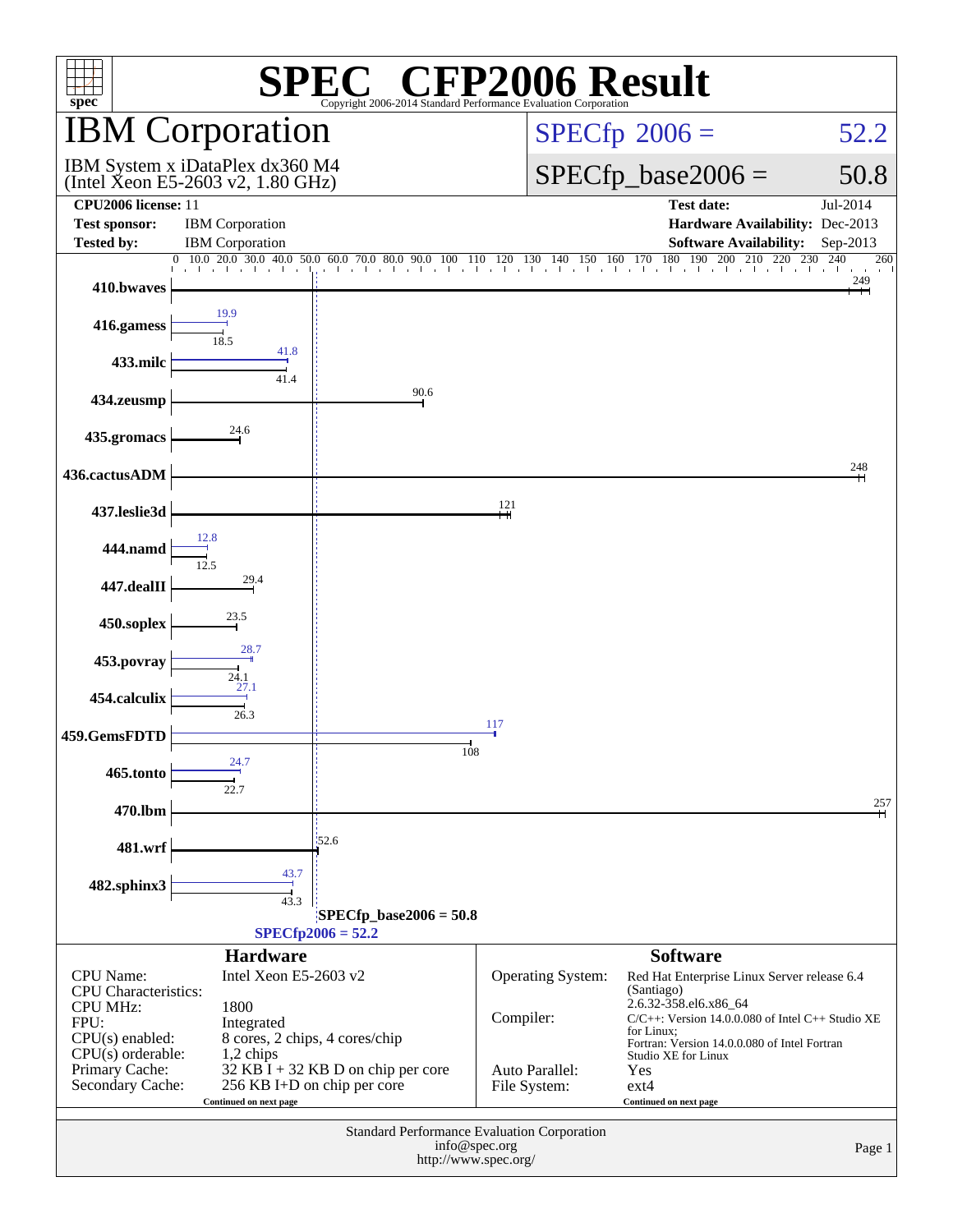| $\mathbb{C}^{\circledast}$ CFP2006 Result<br>spec <sup>®</sup><br>Copyright 2006-2014 Standard Performance Evaluation Corporation |                                                                      |                                                                     |               |                        |                                                             |                               |  |  |
|-----------------------------------------------------------------------------------------------------------------------------------|----------------------------------------------------------------------|---------------------------------------------------------------------|---------------|------------------------|-------------------------------------------------------------|-------------------------------|--|--|
|                                                                                                                                   | <b>IBM Corporation</b>                                               |                                                                     |               |                        | $SPECfp^{\circ}2006 =$                                      | 52.2                          |  |  |
|                                                                                                                                   | IBM System x iDataPlex dx360 M4<br>(Intel Xeon E5-2603 v2, 1.80 GHz) |                                                                     |               | $SPECfp\_base2006 =$   | 50.8                                                        |                               |  |  |
| <b>CPU2006</b> license: 11                                                                                                        |                                                                      |                                                                     |               |                        | <b>Test date:</b>                                           | Jul-2014                      |  |  |
| <b>Test sponsor:</b>                                                                                                              | <b>IBM</b> Corporation                                               |                                                                     |               |                        | Hardware Availability: Dec-2013                             |                               |  |  |
| <b>Tested by:</b>                                                                                                                 | <b>IBM</b> Corporation                                               | 0 10.0 20.0 30.0 40.0 50.0 60.0 70.0 80.0 90.0 100 110              |               | 150 160<br>120 130 140 | <b>Software Availability:</b><br>180 190 200 210 220<br>170 | Sep-2013<br>230<br>240<br>260 |  |  |
| 410.bwaves                                                                                                                        |                                                                      | the theory of a final to the<br>control of the Con-                 |               |                        | the contract of the contract of the contract of             | 249                           |  |  |
| 416.gamess                                                                                                                        | 19.9<br>18.5                                                         |                                                                     |               |                        |                                                             |                               |  |  |
| 433.milc                                                                                                                          | 41.8<br>41.4                                                         |                                                                     |               |                        |                                                             |                               |  |  |
| 434.zeusmp                                                                                                                        |                                                                      | 90.6                                                                |               |                        |                                                             |                               |  |  |
| 435.gromacs                                                                                                                       | 24.6                                                                 |                                                                     |               |                        |                                                             |                               |  |  |
| 436.cactusADM                                                                                                                     |                                                                      |                                                                     |               |                        |                                                             | 248                           |  |  |
| 437.leslie3d                                                                                                                      |                                                                      |                                                                     | 121           |                        |                                                             |                               |  |  |
| 444.namd                                                                                                                          | 12.8<br>12.5                                                         |                                                                     |               |                        |                                                             |                               |  |  |
| 447.dealII                                                                                                                        | 29.4                                                                 |                                                                     |               |                        |                                                             |                               |  |  |
| 450.soplex                                                                                                                        | 23.5<br>28.7                                                         |                                                                     |               |                        |                                                             |                               |  |  |
| 453.povray                                                                                                                        | 24.1<br>27.1                                                         |                                                                     |               |                        |                                                             |                               |  |  |
| 454.calculix                                                                                                                      | 26.3                                                                 |                                                                     | 117           |                        |                                                             |                               |  |  |
| 459.GemsFDTD                                                                                                                      | 24.7                                                                 | 108                                                                 |               |                        |                                                             |                               |  |  |
| 465.tonto                                                                                                                         |                                                                      |                                                                     |               |                        |                                                             |                               |  |  |
| 470.lbm                                                                                                                           |                                                                      |                                                                     |               |                        |                                                             | 257                           |  |  |
| 481.wrf                                                                                                                           |                                                                      | 52.6                                                                |               |                        |                                                             |                               |  |  |
| 482.sphinx3                                                                                                                       | 43.7<br>43.3                                                         |                                                                     |               |                        |                                                             |                               |  |  |
|                                                                                                                                   |                                                                      | $SPECfp\_base2006 = 50.8$<br>$SPECfp2006 = 52.2$                    |               |                        |                                                             |                               |  |  |
|                                                                                                                                   | <b>Hardware</b>                                                      |                                                                     |               |                        | <b>Software</b>                                             |                               |  |  |
| <b>CPU</b> Name:                                                                                                                  | Intel Xeon E5-2603 v2                                                |                                                                     |               | Operating System:      | Red Hat Enterprise Linux Server release 6.4                 |                               |  |  |
| <b>CPU</b> Characteristics:                                                                                                       |                                                                      |                                                                     |               |                        | (Santiago)<br>2.6.32-358.el6.x86_64                         |                               |  |  |
| <b>CPU MHz:</b><br>FPU:                                                                                                           | 1800<br>Integrated                                                   |                                                                     | Compiler:     |                        | $C/C++$ : Version 14.0.0.080 of Intel $C++$ Studio XE       |                               |  |  |
| $CPU(s)$ enabled:<br>8 cores, 2 chips, 4 cores/chip                                                                               |                                                                      |                                                                     |               |                        | for Linux;<br>Fortran: Version 14.0.0.080 of Intel Fortran  |                               |  |  |
| $CPU(s)$ orderable:<br>Primary Cache:                                                                                             | 1,2 chips                                                            | $32$ KB I + 32 KB D on chip per core                                |               | Auto Parallel:         | Studio XE for Linux<br>Yes                                  |                               |  |  |
| Secondary Cache:                                                                                                                  | Continued on next page                                               | 256 KB I+D on chip per core                                         |               | File System:           | $ext{4}$<br>Continued on next page                          |                               |  |  |
|                                                                                                                                   |                                                                      |                                                                     |               |                        |                                                             |                               |  |  |
|                                                                                                                                   |                                                                      | Standard Performance Evaluation Corporation<br>http://www.spec.org/ | info@spec.org |                        |                                                             | Page 1                        |  |  |
|                                                                                                                                   |                                                                      |                                                                     |               |                        |                                                             |                               |  |  |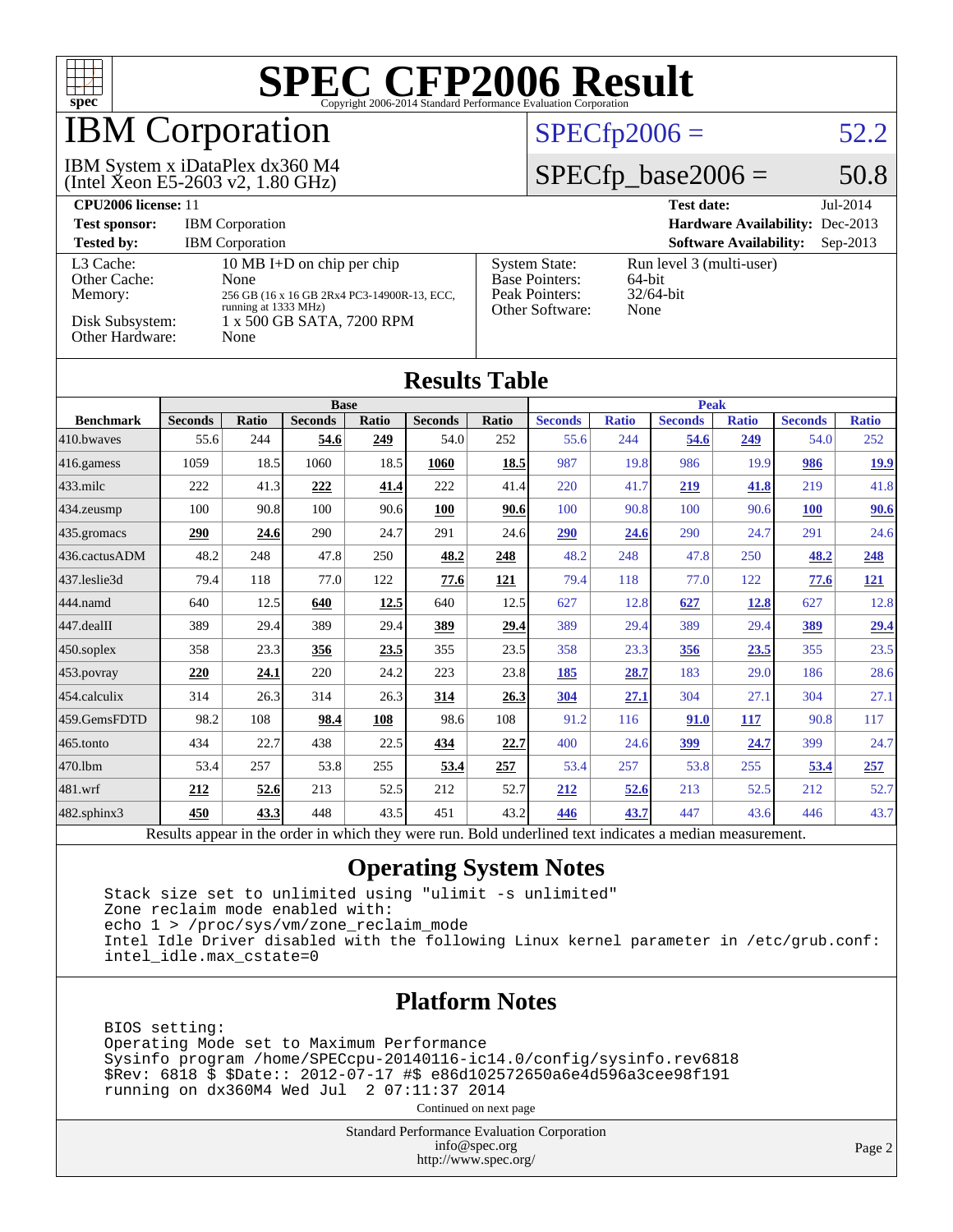

## **BM Corporation**

(Intel Xeon E5-2603 v2, 1.80 GHz) IBM System x iDataPlex dx360 M4

### $SPECfp2006 = 52.2$  $SPECfp2006 = 52.2$

### $SPECfp\_base2006 = 50.8$

| <b>CPU2006 license: 11</b>                                                 |                                                                                                                                                |                                                                                    | $Jul-2014$<br><b>Test date:</b>                               |
|----------------------------------------------------------------------------|------------------------------------------------------------------------------------------------------------------------------------------------|------------------------------------------------------------------------------------|---------------------------------------------------------------|
| <b>Test sponsor:</b>                                                       | <b>IBM</b> Corporation                                                                                                                         |                                                                                    | <b>Hardware Availability: Dec-2013</b>                        |
| <b>Tested by:</b>                                                          | <b>IBM</b> Corporation                                                                                                                         |                                                                                    | <b>Software Availability:</b><br>$Sep-2013$                   |
| L3 Cache:<br>Other Cache:<br>Memory:<br>Disk Subsystem:<br>Other Hardware: | 10 MB I+D on chip per chip<br>None<br>256 GB (16 x 16 GB 2Rx4 PC3-14900R-13, ECC,<br>running at 1333 MHz)<br>1 x 500 GB SATA, 7200 RPM<br>None | <b>System State:</b><br><b>Base Pointers:</b><br>Peak Pointers:<br>Other Software: | Run level 3 (multi-user)<br>$64$ -bit<br>$32/64$ -bit<br>None |

| <b>Results Table</b>   |                |              |                |       |                |            |                |              |                |              |                |              |
|------------------------|----------------|--------------|----------------|-------|----------------|------------|----------------|--------------|----------------|--------------|----------------|--------------|
|                        | <b>Base</b>    |              |                |       |                |            | <b>Peak</b>    |              |                |              |                |              |
| <b>Benchmark</b>       | <b>Seconds</b> | <b>Ratio</b> | <b>Seconds</b> | Ratio | <b>Seconds</b> | Ratio      | <b>Seconds</b> | <b>Ratio</b> | <b>Seconds</b> | <b>Ratio</b> | <b>Seconds</b> | <b>Ratio</b> |
| 410.bwayes             | 55.6           | 244          | 54.6           | 249   | 54.0           | 252        | 55.6           | 244          | 54.6           | 249          | 54.0           | 252          |
| $ 416$ .gamess         | 1059           | 18.5         | 1060           | 18.5  | 1060           | 18.5       | 987            | 19.8         | 986            | 19.9         | 986            | <u>19.9</u>  |
| $433$ .milc            | 222            | 41.3         | 222            | 41.4  | 222            | 41.4       | 220            | 41.7         | 219            | 41.8         | 219            | 41.8         |
| 434.zeusmp             | 100            | 90.8         | 100            | 90.6  | <b>100</b>     | 90.6       | 100            | 90.8         | 100            | 90.6         | 100            | 90.6         |
| 435.gromacs            | 290            | 24.6         | 290            | 24.7  | 291            | 24.6       | 290            | 24.6         | 290            | 24.7         | 291            | 24.6         |
| 436.cactusADM          | 48.2           | 248          | 47.8           | 250   | 48.2           | 248        | 48.2           | 248          | 47.8           | 250          | 48.2           | 248          |
| 437.leslie3d           | 79.4           | 118          | 77.0           | 122   | 77.6           | <u>121</u> | 79.4           | 118          | 77.0           | 122          | 77.6           | <u>121</u>   |
| 444.namd               | 640            | 12.5         | 640            | 12.5  | 640            | 12.5       | 627            | 12.8         | 627            | 12.8         | 627            | 12.8         |
| $ 447 \text{.}$ dealII | 389            | 29.4         | 389            | 29.4  | 389            | 29.4       | 389            | 29.4         | 389            | 29.4         | 389            | <u>29.4</u>  |
| $450$ .soplex          | 358            | 23.3         | 356            | 23.5  | 355            | 23.5       | 358            | 23.3         | 356            | 23.5         | 355            | 23.5         |
| $ 453$ . povray        | 220            | 24.1         | 220            | 24.2  | 223            | 23.8       | 185            | 28.7         | 183            | 29.0         | 186            | 28.6         |
| 454.calculix           | 314            | 26.3         | 314            | 26.3  | 314            | 26.3       | <b>304</b>     | 27.1         | 304            | 27.1         | 304            | 27.1         |
| 459.GemsFDTD           | 98.2           | 108          | 98.4           | 108   | 98.6           | 108        | 91.2           | 116          | 91.0           | 117          | 90.8           | 117          |
| 465.tonto              | 434            | 22.7         | 438            | 22.5  | 434            | 22.7       | 400            | 24.6         | <u>399</u>     | 24.7         | 399            | 24.7         |
| 470.1bm                | 53.4           | 257          | 53.8           | 255   | 53.4           | 257        | 53.4           | 257          | 53.8           | 255          | 53.4           | 257          |
| 481.wrf                | 212            | 52.6         | 213            | 52.5  | 212            | 52.7       | <u>212</u>     | 52.6         | 213            | 52.5         | 212            | 52.7         |
| 482.sphinx3            | 450            | 43.3         | 448            | 43.5  | 451            | 43.2       | 446            | 43.7         | 447            | 43.6         | 446            | 43.7         |

### Results appear in the [order in which they were run.](http://www.spec.org/auto/cpu2006/Docs/result-fields.html#RunOrder) Bold underlined text [indicates a median measurement.](http://www.spec.org/auto/cpu2006/Docs/result-fields.html#Median)

### **[Operating System Notes](http://www.spec.org/auto/cpu2006/Docs/result-fields.html#OperatingSystemNotes)**

 Stack size set to unlimited using "ulimit -s unlimited" Zone reclaim mode enabled with: echo 1 > /proc/sys/vm/zone\_reclaim\_mode Intel Idle Driver disabled with the following Linux kernel parameter in /etc/grub.conf: intel\_idle.max\_cstate=0

### **[Platform Notes](http://www.spec.org/auto/cpu2006/Docs/result-fields.html#PlatformNotes)**

 BIOS setting: Operating Mode set to Maximum Performance Sysinfo program /home/SPECcpu-20140116-ic14.0/config/sysinfo.rev6818 \$Rev: 6818 \$ \$Date:: 2012-07-17 #\$ e86d102572650a6e4d596a3cee98f191 running on dx360M4 Wed Jul 2 07:11:37 2014

Continued on next page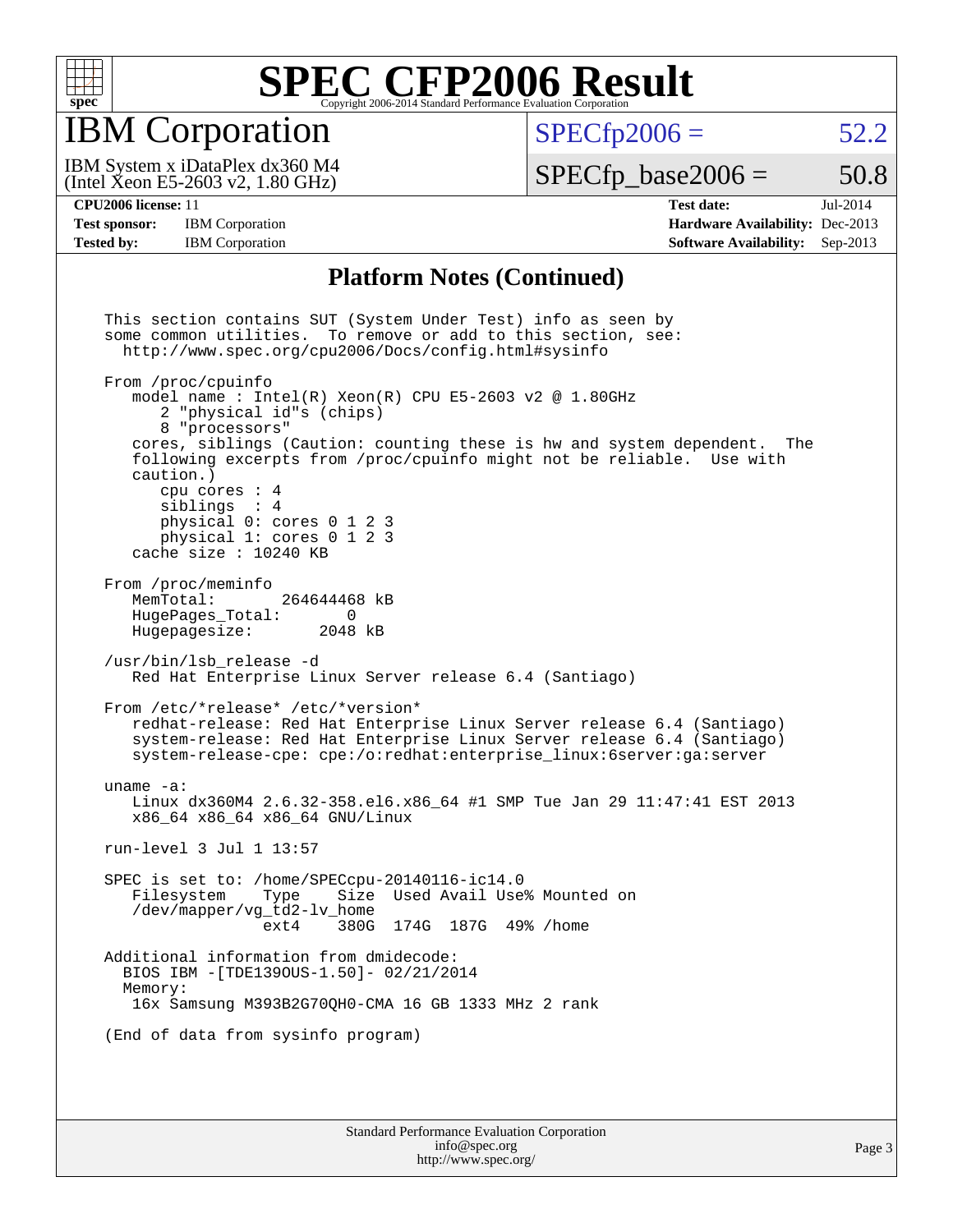

## IBM Corporation

 $SPECTp2006 = 52.2$ 

(Intel Xeon E5-2603 v2, 1.80 GHz) IBM System x iDataPlex dx360 M4

 $SPECTp\_base2006 = 50.8$ 

**[Test sponsor:](http://www.spec.org/auto/cpu2006/Docs/result-fields.html#Testsponsor)** IBM Corporation **[Hardware Availability:](http://www.spec.org/auto/cpu2006/Docs/result-fields.html#HardwareAvailability)** Dec-2013

**[CPU2006 license:](http://www.spec.org/auto/cpu2006/Docs/result-fields.html#CPU2006license)** 11 **[Test date:](http://www.spec.org/auto/cpu2006/Docs/result-fields.html#Testdate)** Jul-2014 **[Tested by:](http://www.spec.org/auto/cpu2006/Docs/result-fields.html#Testedby)** IBM Corporation **[Software Availability:](http://www.spec.org/auto/cpu2006/Docs/result-fields.html#SoftwareAvailability)** Sep-2013

### **[Platform Notes \(Continued\)](http://www.spec.org/auto/cpu2006/Docs/result-fields.html#PlatformNotes)**

 This section contains SUT (System Under Test) info as seen by some common utilities. To remove or add to this section, see: <http://www.spec.org/cpu2006/Docs/config.html#sysinfo> From /proc/cpuinfo model name : Intel $(R)$  Xeon $(R)$  CPU E5-2603 v2 @ 1.80GHz 2 "physical id"s (chips) 8 "processors" cores, siblings (Caution: counting these is hw and system dependent. The following excerpts from /proc/cpuinfo might not be reliable. Use with caution.) cpu cores : 4 siblings : 4 physical 0: cores 0 1 2 3 physical 1: cores 0 1 2 3 cache size : 10240 KB From /proc/meminfo<br>MemTotal: 264644468 kB HugePages\_Total: 0<br>Hugepagesize: 2048 kB Hugepagesize: /usr/bin/lsb\_release -d Red Hat Enterprise Linux Server release 6.4 (Santiago) From /etc/\*release\* /etc/\*version\* redhat-release: Red Hat Enterprise Linux Server release 6.4 (Santiago) system-release: Red Hat Enterprise Linux Server release 6.4 (Santiago) system-release-cpe: cpe:/o:redhat:enterprise\_linux:6server:ga:server uname -a: Linux dx360M4 2.6.32-358.el6.x86\_64 #1 SMP Tue Jan 29 11:47:41 EST 2013 x86\_64 x86\_64 x86\_64 GNU/Linux run-level 3 Jul 1 13:57 SPEC is set to: /home/SPECcpu-20140116-ic14.0 Size Used Avail Use% Mounted on /dev/mapper/vg\_td2-lv\_home ext4 380G 174G 187G 49% /home Additional information from dmidecode: BIOS IBM -[TDE139OUS-1.50]- 02/21/2014 Memory: 16x Samsung M393B2G70QH0-CMA 16 GB 1333 MHz 2 rank (End of data from sysinfo program)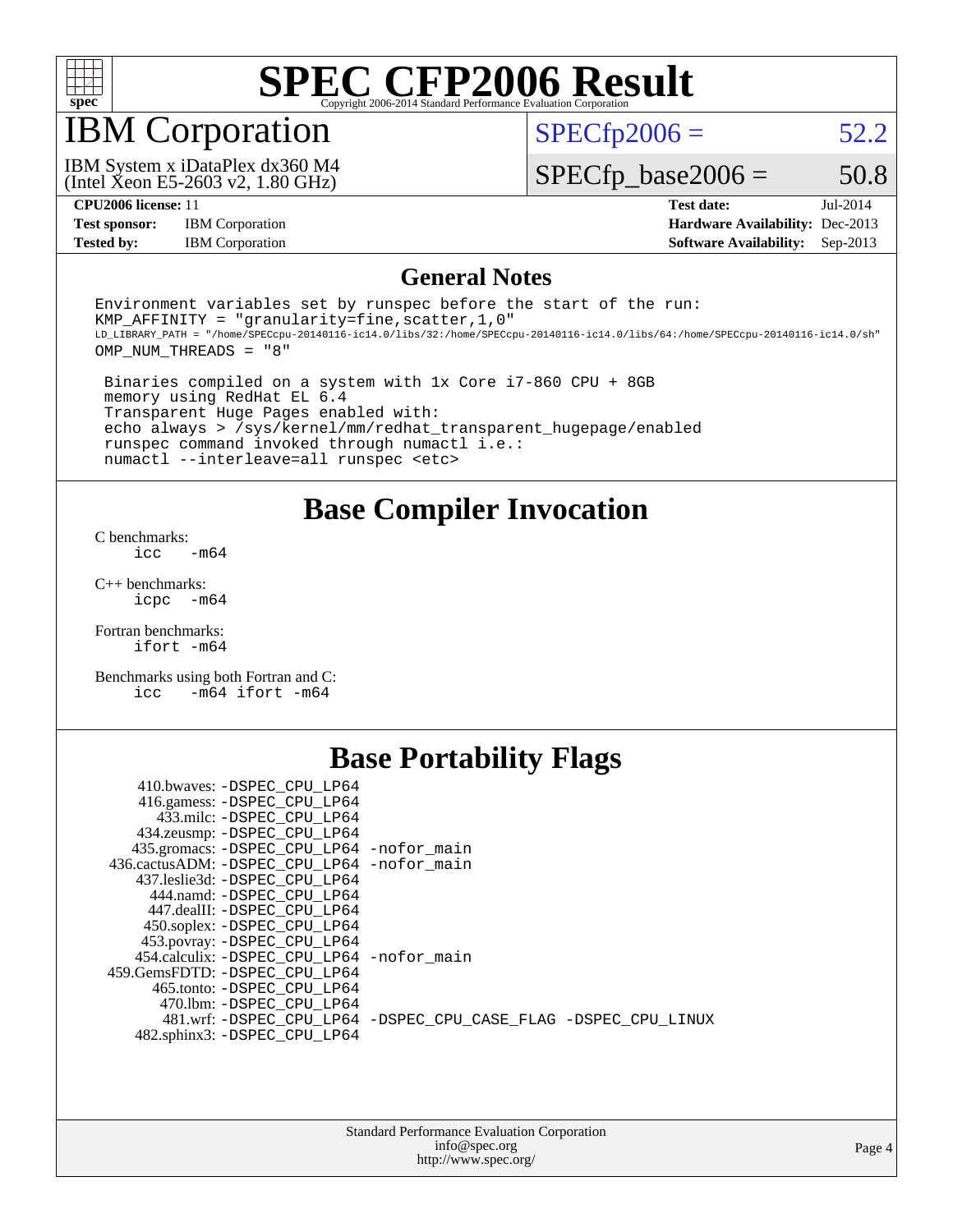

## IBM Corporation

 $SPECfp2006 = 52.2$  $SPECfp2006 = 52.2$ 

(Intel Xeon E5-2603 v2, 1.80 GHz) IBM System x iDataPlex dx360 M4

 $SPECfp\_base2006 = 50.8$ 

**[Test sponsor:](http://www.spec.org/auto/cpu2006/Docs/result-fields.html#Testsponsor)** IBM Corporation **[Hardware Availability:](http://www.spec.org/auto/cpu2006/Docs/result-fields.html#HardwareAvailability)** Dec-2013

**[CPU2006 license:](http://www.spec.org/auto/cpu2006/Docs/result-fields.html#CPU2006license)** 11 **[Test date:](http://www.spec.org/auto/cpu2006/Docs/result-fields.html#Testdate)** Jul-2014 **[Tested by:](http://www.spec.org/auto/cpu2006/Docs/result-fields.html#Testedby)** IBM Corporation **[Software Availability:](http://www.spec.org/auto/cpu2006/Docs/result-fields.html#SoftwareAvailability)** Sep-2013

### **[General Notes](http://www.spec.org/auto/cpu2006/Docs/result-fields.html#GeneralNotes)**

Environment variables set by runspec before the start of the run: KMP AFFINITY = "granularity=fine, scatter,  $1,0$ " LD\_LIBRARY\_PATH = "/home/SPECcpu-20140116-ic14.0/libs/32:/home/SPECcpu-20140116-ic14.0/libs/64:/home/SPECcpu-20140116-ic14.0/sh" OMP\_NUM\_THREADS = "8"

 Binaries compiled on a system with 1x Core i7-860 CPU + 8GB memory using RedHat EL 6.4 Transparent Huge Pages enabled with: echo always > /sys/kernel/mm/redhat\_transparent\_hugepage/enabled runspec command invoked through numactl i.e.: numactl --interleave=all runspec <etc>

### **[Base Compiler Invocation](http://www.spec.org/auto/cpu2006/Docs/result-fields.html#BaseCompilerInvocation)**

[C benchmarks](http://www.spec.org/auto/cpu2006/Docs/result-fields.html#Cbenchmarks):  $\frac{1}{2}$ cc  $-\text{m64}$ 

[C++ benchmarks:](http://www.spec.org/auto/cpu2006/Docs/result-fields.html#CXXbenchmarks) [icpc -m64](http://www.spec.org/cpu2006/results/res2014q3/cpu2006-20140702-30279.flags.html#user_CXXbase_intel_icpc_64bit_bedb90c1146cab66620883ef4f41a67e)

[Fortran benchmarks](http://www.spec.org/auto/cpu2006/Docs/result-fields.html#Fortranbenchmarks): [ifort -m64](http://www.spec.org/cpu2006/results/res2014q3/cpu2006-20140702-30279.flags.html#user_FCbase_intel_ifort_64bit_ee9d0fb25645d0210d97eb0527dcc06e)

[Benchmarks using both Fortran and C](http://www.spec.org/auto/cpu2006/Docs/result-fields.html#BenchmarksusingbothFortranandC): [icc -m64](http://www.spec.org/cpu2006/results/res2014q3/cpu2006-20140702-30279.flags.html#user_CC_FCbase_intel_icc_64bit_0b7121f5ab7cfabee23d88897260401c) [ifort -m64](http://www.spec.org/cpu2006/results/res2014q3/cpu2006-20140702-30279.flags.html#user_CC_FCbase_intel_ifort_64bit_ee9d0fb25645d0210d97eb0527dcc06e)

### **[Base Portability Flags](http://www.spec.org/auto/cpu2006/Docs/result-fields.html#BasePortabilityFlags)**

| 410.bwaves: -DSPEC CPU LP64                 |                                                                |
|---------------------------------------------|----------------------------------------------------------------|
| 416.gamess: -DSPEC_CPU_LP64                 |                                                                |
| 433.milc: -DSPEC CPU LP64                   |                                                                |
| 434.zeusmp: - DSPEC_CPU_LP64                |                                                                |
| 435.gromacs: -DSPEC_CPU_LP64 -nofor_main    |                                                                |
| 436.cactusADM: -DSPEC CPU LP64 -nofor main  |                                                                |
| 437.leslie3d: -DSPEC CPU LP64               |                                                                |
| 444.namd: -DSPEC CPU LP64                   |                                                                |
| 447.dealII: -DSPEC CPU LP64                 |                                                                |
| 450.soplex: -DSPEC_CPU_LP64                 |                                                                |
| 453.povray: -DSPEC_CPU_LP64                 |                                                                |
| 454.calculix: - DSPEC CPU LP64 - nofor main |                                                                |
| 459.GemsFDTD: - DSPEC_CPU LP64              |                                                                |
| 465.tonto: - DSPEC CPU LP64                 |                                                                |
| 470.1bm: - DSPEC CPU LP64                   |                                                                |
|                                             | 481.wrf: -DSPEC CPU_LP64 -DSPEC_CPU_CASE_FLAG -DSPEC_CPU_LINUX |
| 482.sphinx3: -DSPEC_CPU_LP64                |                                                                |
|                                             |                                                                |

| <b>Standard Performance Evaluation Corporation</b> |
|----------------------------------------------------|
| info@spec.org                                      |
| http://www.spec.org/                               |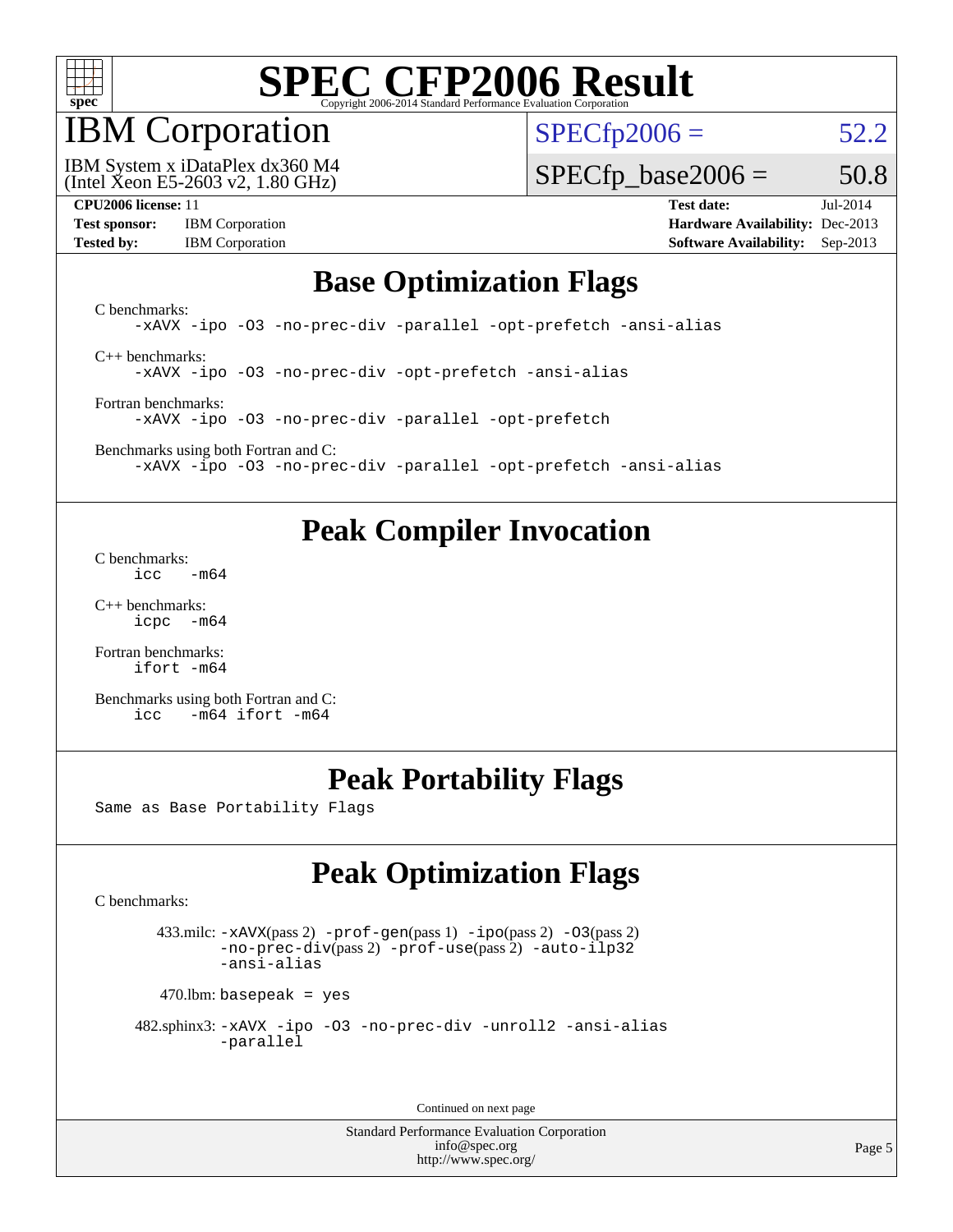

### IBM Corporation

 $SPECTp2006 = 52.2$ 

(Intel Xeon E5-2603 v2, 1.80 GHz) IBM System x iDataPlex dx360 M4  $SPECTp\_base2006 = 50.8$ 

**[Test sponsor:](http://www.spec.org/auto/cpu2006/Docs/result-fields.html#Testsponsor)** IBM Corporation **[Hardware Availability:](http://www.spec.org/auto/cpu2006/Docs/result-fields.html#HardwareAvailability)** Dec-2013 **[Tested by:](http://www.spec.org/auto/cpu2006/Docs/result-fields.html#Testedby)** IBM Corporation **[Software Availability:](http://www.spec.org/auto/cpu2006/Docs/result-fields.html#SoftwareAvailability)** Sep-2013

**[CPU2006 license:](http://www.spec.org/auto/cpu2006/Docs/result-fields.html#CPU2006license)** 11 **[Test date:](http://www.spec.org/auto/cpu2006/Docs/result-fields.html#Testdate)** Jul-2014

### **[Base Optimization Flags](http://www.spec.org/auto/cpu2006/Docs/result-fields.html#BaseOptimizationFlags)**

[C benchmarks](http://www.spec.org/auto/cpu2006/Docs/result-fields.html#Cbenchmarks): [-xAVX](http://www.spec.org/cpu2006/results/res2014q3/cpu2006-20140702-30279.flags.html#user_CCbase_f-xAVX) [-ipo](http://www.spec.org/cpu2006/results/res2014q3/cpu2006-20140702-30279.flags.html#user_CCbase_f-ipo) [-O3](http://www.spec.org/cpu2006/results/res2014q3/cpu2006-20140702-30279.flags.html#user_CCbase_f-O3) [-no-prec-div](http://www.spec.org/cpu2006/results/res2014q3/cpu2006-20140702-30279.flags.html#user_CCbase_f-no-prec-div) [-parallel](http://www.spec.org/cpu2006/results/res2014q3/cpu2006-20140702-30279.flags.html#user_CCbase_f-parallel) [-opt-prefetch](http://www.spec.org/cpu2006/results/res2014q3/cpu2006-20140702-30279.flags.html#user_CCbase_f-opt-prefetch) [-ansi-alias](http://www.spec.org/cpu2006/results/res2014q3/cpu2006-20140702-30279.flags.html#user_CCbase_f-ansi-alias) [C++ benchmarks:](http://www.spec.org/auto/cpu2006/Docs/result-fields.html#CXXbenchmarks) [-xAVX](http://www.spec.org/cpu2006/results/res2014q3/cpu2006-20140702-30279.flags.html#user_CXXbase_f-xAVX) [-ipo](http://www.spec.org/cpu2006/results/res2014q3/cpu2006-20140702-30279.flags.html#user_CXXbase_f-ipo) [-O3](http://www.spec.org/cpu2006/results/res2014q3/cpu2006-20140702-30279.flags.html#user_CXXbase_f-O3) [-no-prec-div](http://www.spec.org/cpu2006/results/res2014q3/cpu2006-20140702-30279.flags.html#user_CXXbase_f-no-prec-div) [-opt-prefetch](http://www.spec.org/cpu2006/results/res2014q3/cpu2006-20140702-30279.flags.html#user_CXXbase_f-opt-prefetch) [-ansi-alias](http://www.spec.org/cpu2006/results/res2014q3/cpu2006-20140702-30279.flags.html#user_CXXbase_f-ansi-alias)

[Fortran benchmarks](http://www.spec.org/auto/cpu2006/Docs/result-fields.html#Fortranbenchmarks): [-xAVX](http://www.spec.org/cpu2006/results/res2014q3/cpu2006-20140702-30279.flags.html#user_FCbase_f-xAVX) [-ipo](http://www.spec.org/cpu2006/results/res2014q3/cpu2006-20140702-30279.flags.html#user_FCbase_f-ipo) [-O3](http://www.spec.org/cpu2006/results/res2014q3/cpu2006-20140702-30279.flags.html#user_FCbase_f-O3) [-no-prec-div](http://www.spec.org/cpu2006/results/res2014q3/cpu2006-20140702-30279.flags.html#user_FCbase_f-no-prec-div) [-parallel](http://www.spec.org/cpu2006/results/res2014q3/cpu2006-20140702-30279.flags.html#user_FCbase_f-parallel) [-opt-prefetch](http://www.spec.org/cpu2006/results/res2014q3/cpu2006-20140702-30279.flags.html#user_FCbase_f-opt-prefetch)

[Benchmarks using both Fortran and C](http://www.spec.org/auto/cpu2006/Docs/result-fields.html#BenchmarksusingbothFortranandC): [-xAVX](http://www.spec.org/cpu2006/results/res2014q3/cpu2006-20140702-30279.flags.html#user_CC_FCbase_f-xAVX) [-ipo](http://www.spec.org/cpu2006/results/res2014q3/cpu2006-20140702-30279.flags.html#user_CC_FCbase_f-ipo) [-O3](http://www.spec.org/cpu2006/results/res2014q3/cpu2006-20140702-30279.flags.html#user_CC_FCbase_f-O3) [-no-prec-div](http://www.spec.org/cpu2006/results/res2014q3/cpu2006-20140702-30279.flags.html#user_CC_FCbase_f-no-prec-div) [-parallel](http://www.spec.org/cpu2006/results/res2014q3/cpu2006-20140702-30279.flags.html#user_CC_FCbase_f-parallel) [-opt-prefetch](http://www.spec.org/cpu2006/results/res2014q3/cpu2006-20140702-30279.flags.html#user_CC_FCbase_f-opt-prefetch) [-ansi-alias](http://www.spec.org/cpu2006/results/res2014q3/cpu2006-20140702-30279.flags.html#user_CC_FCbase_f-ansi-alias)

### **[Peak Compiler Invocation](http://www.spec.org/auto/cpu2006/Docs/result-fields.html#PeakCompilerInvocation)**

[C benchmarks](http://www.spec.org/auto/cpu2006/Docs/result-fields.html#Cbenchmarks):  $\text{icc}$   $-\text{m64}$ 

[C++ benchmarks:](http://www.spec.org/auto/cpu2006/Docs/result-fields.html#CXXbenchmarks) [icpc -m64](http://www.spec.org/cpu2006/results/res2014q3/cpu2006-20140702-30279.flags.html#user_CXXpeak_intel_icpc_64bit_bedb90c1146cab66620883ef4f41a67e)

[Fortran benchmarks](http://www.spec.org/auto/cpu2006/Docs/result-fields.html#Fortranbenchmarks): [ifort -m64](http://www.spec.org/cpu2006/results/res2014q3/cpu2006-20140702-30279.flags.html#user_FCpeak_intel_ifort_64bit_ee9d0fb25645d0210d97eb0527dcc06e)

[Benchmarks using both Fortran and C](http://www.spec.org/auto/cpu2006/Docs/result-fields.html#BenchmarksusingbothFortranandC): [icc -m64](http://www.spec.org/cpu2006/results/res2014q3/cpu2006-20140702-30279.flags.html#user_CC_FCpeak_intel_icc_64bit_0b7121f5ab7cfabee23d88897260401c) [ifort -m64](http://www.spec.org/cpu2006/results/res2014q3/cpu2006-20140702-30279.flags.html#user_CC_FCpeak_intel_ifort_64bit_ee9d0fb25645d0210d97eb0527dcc06e)

### **[Peak Portability Flags](http://www.spec.org/auto/cpu2006/Docs/result-fields.html#PeakPortabilityFlags)**

Same as Base Portability Flags

### **[Peak Optimization Flags](http://www.spec.org/auto/cpu2006/Docs/result-fields.html#PeakOptimizationFlags)**

[C benchmarks](http://www.spec.org/auto/cpu2006/Docs/result-fields.html#Cbenchmarks):

 433.milc: [-xAVX](http://www.spec.org/cpu2006/results/res2014q3/cpu2006-20140702-30279.flags.html#user_peakPASS2_CFLAGSPASS2_LDFLAGS433_milc_f-xAVX)(pass 2) [-prof-gen](http://www.spec.org/cpu2006/results/res2014q3/cpu2006-20140702-30279.flags.html#user_peakPASS1_CFLAGSPASS1_LDFLAGS433_milc_prof_gen_e43856698f6ca7b7e442dfd80e94a8fc)(pass 1) [-ipo](http://www.spec.org/cpu2006/results/res2014q3/cpu2006-20140702-30279.flags.html#user_peakPASS2_CFLAGSPASS2_LDFLAGS433_milc_f-ipo)(pass 2) [-O3](http://www.spec.org/cpu2006/results/res2014q3/cpu2006-20140702-30279.flags.html#user_peakPASS2_CFLAGSPASS2_LDFLAGS433_milc_f-O3)(pass 2) [-no-prec-div](http://www.spec.org/cpu2006/results/res2014q3/cpu2006-20140702-30279.flags.html#user_peakPASS2_CFLAGSPASS2_LDFLAGS433_milc_f-no-prec-div)(pass 2) [-prof-use](http://www.spec.org/cpu2006/results/res2014q3/cpu2006-20140702-30279.flags.html#user_peakPASS2_CFLAGSPASS2_LDFLAGS433_milc_prof_use_bccf7792157ff70d64e32fe3e1250b55)(pass 2) [-auto-ilp32](http://www.spec.org/cpu2006/results/res2014q3/cpu2006-20140702-30279.flags.html#user_peakCOPTIMIZE433_milc_f-auto-ilp32) [-ansi-alias](http://www.spec.org/cpu2006/results/res2014q3/cpu2006-20140702-30279.flags.html#user_peakCOPTIMIZE433_milc_f-ansi-alias)

 $470$ .lbm: basepeak = yes

```
 482.sphinx3: -xAVX -ipo -O3 -no-prec-div -unroll2 -ansi-alias
         -parallel
```
Continued on next page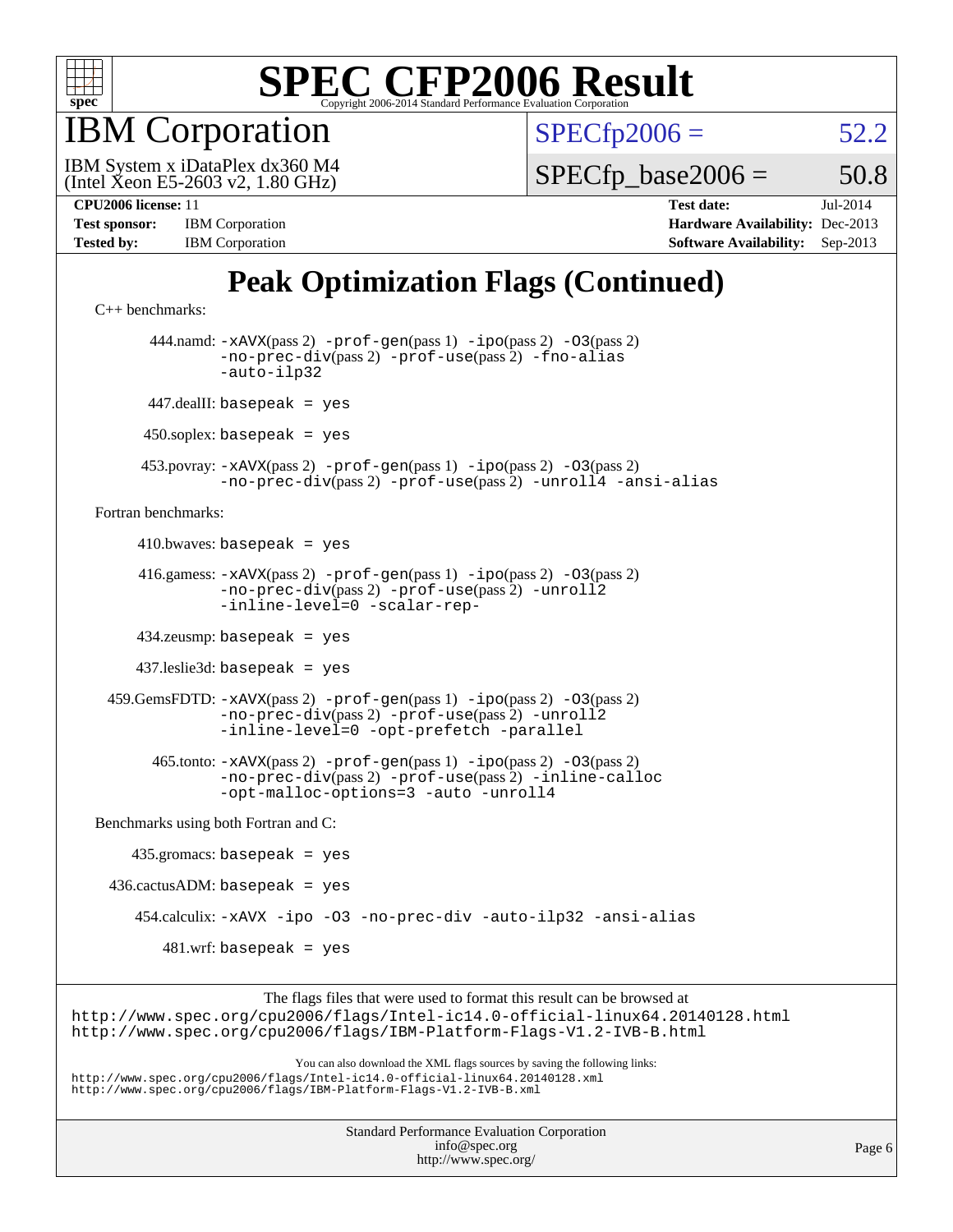

IBM Corporation

 $SPECTp2006 = 52.2$ 

(Intel Xeon E5-2603 v2, 1.80 GHz) IBM System x iDataPlex dx360 M4

 $SPECTp\_base2006 = 50.8$ 

| <b>Test sponsor:</b> | <b>IBM</b> Corporation |
|----------------------|------------------------|
| <b>Tested by:</b>    | <b>IBM</b> Corporation |

**[CPU2006 license:](http://www.spec.org/auto/cpu2006/Docs/result-fields.html#CPU2006license)** 11 **[Test date:](http://www.spec.org/auto/cpu2006/Docs/result-fields.html#Testdate)** Jul-2014 **[Hardware Availability:](http://www.spec.org/auto/cpu2006/Docs/result-fields.html#HardwareAvailability)** Dec-2013 **[Software Availability:](http://www.spec.org/auto/cpu2006/Docs/result-fields.html#SoftwareAvailability)** Sep-2013

### **[Peak Optimization Flags \(Continued\)](http://www.spec.org/auto/cpu2006/Docs/result-fields.html#PeakOptimizationFlags)**

```
C++ benchmarks: 
        444.namd: -xAVX(pass 2) -prof-gen(pass 1) -ipo(pass 2) -O3(pass 2)
                -no-prec-div(pass 2) -prof-use(pass 2) -fno-alias
                -auto-ilp32
       447.dealII: basepeak = yes
       450.soplex: basepeak = yes
      453.povray: -xAVX(pass 2) -prof-gen(pass 1) -ipo(pass 2) -O3(pass 2)
                -no-prec-div(pass 2) -prof-use(pass 2) -unroll4 -ansi-alias
Fortran benchmarks: 
     410.bwaves: basepeak = yes 416.gamess: -xAVX(pass 2) -prof-gen(pass 1) -ipo(pass 2) -O3(pass 2)
                -no-prec-div(pass 2) -prof-use(pass 2) -unroll2
                -inline-level=0 -scalar-rep-
      434.zeusmp: basepeak = yes
      437.leslie3d: basepeak = yes
  459.GemsFDTD: -xAVX(pass 2) -prof-gen(pass 1) -ipo(pass 2) -O3(pass 2)
                -no-prec-div(pass 2) -prof-use(pass 2) -unroll2
                -inline-level=0 -opt-prefetch -parallel
        465.tonto: -xAVX(pass 2) -prof-gen(pass 1) -ipo(pass 2) -O3(pass 2)
               -no-prec-div(pass 2) -prof-use(pass 2) -inline-calloc
               -opt-malloc-options=3 -auto -unroll4
Benchmarks using both Fortran and C: 
     435.gromacs: basepeak = yes
 436.cactusADM: basepeak = yes 454.calculix: -xAVX -ipo -O3 -no-prec-div -auto-ilp32 -ansi-alias
        481.wrf: basepeak = yes
```
The flags files that were used to format this result can be browsed at <http://www.spec.org/cpu2006/flags/Intel-ic14.0-official-linux64.20140128.html> <http://www.spec.org/cpu2006/flags/IBM-Platform-Flags-V1.2-IVB-B.html>

You can also download the XML flags sources by saving the following links: <http://www.spec.org/cpu2006/flags/Intel-ic14.0-official-linux64.20140128.xml> <http://www.spec.org/cpu2006/flags/IBM-Platform-Flags-V1.2-IVB-B.xml>